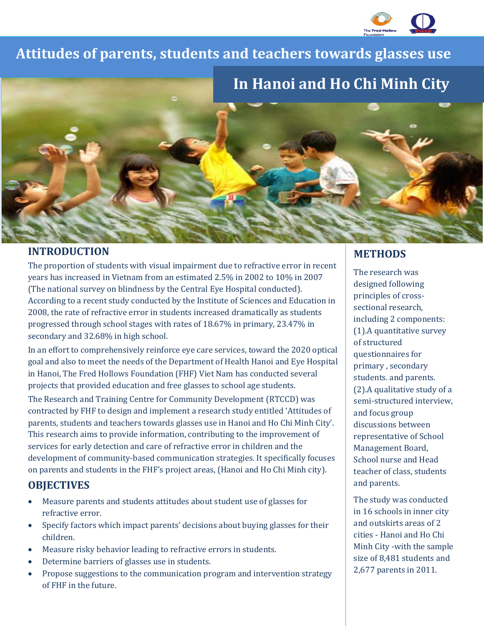

## I **Attitudes of parents, students and teachers towards glasses use**



## **INTRODUCTION**

The proportion of students with visual impairment due to refractive error in recent years has increased in Vietnam from an estimated 2.5% in 2002 to 10% in 2007 (The national survey on blindness by the Central Eye Hospital conducted). According to a recent study conducted by the Institute of Sciences and Education in 2008, the rate of refractive error in students increased dramatically as students progressed through school stages with rates of 18.67% in primary, 23.47% in secondary and 32.68% in high school.

In an effort to comprehensively reinforce eye care services, toward the 2020 optical goal and also to meet the needs of the Department of Health Hanoi and Eye Hospital in Hanoi, The Fred Hollows Foundation (FHF) Viet Nam has conducted several projects that provided education and free glasses to school age students.

The Research and Training Centre for Community Development (RTCCD) was contracted by FHF to design and implement a research study entitled 'Attitudes of parents, students and teachers towards glasses use in Hanoi and Ho Chi Minh City'. This research aims to provide information, contributing to the improvement of services for early detection and care of refractive error in children and the development of community-based communication strategies. It specifically focuses on parents and students in the FHF's project areas, (Hanoi and Ho Chi Minh city).

# **OBJECTIVES**

- Measure parents and students attitudes about student use of glasses for refractive error.
- Specify factors which impact parents' decisions about buying glasses for their children.
- Measure risky behavior leading to refractive errors in students.
- Determine barriers of glasses use in students.
- Propose suggestions to the communication program and intervention strategy of FHF in the future.

# **METHODS**

The research was designed following principles of crosssectional research, including 2 components: (1).A quantitative survey of structured questionnaires for primary , secondary students. and parents. (2).A qualitative study of a semi-structured interview, and focus group discussions between representative of School Management Board, School nurse and Head teacher of class, students and parents.

The study was conducted in 16 schools in inner city and outskirts areas of 2 cities - Hanoi and Ho Chi Minh City -with the sample size of 8,481 students and 2,677 parents in 2011.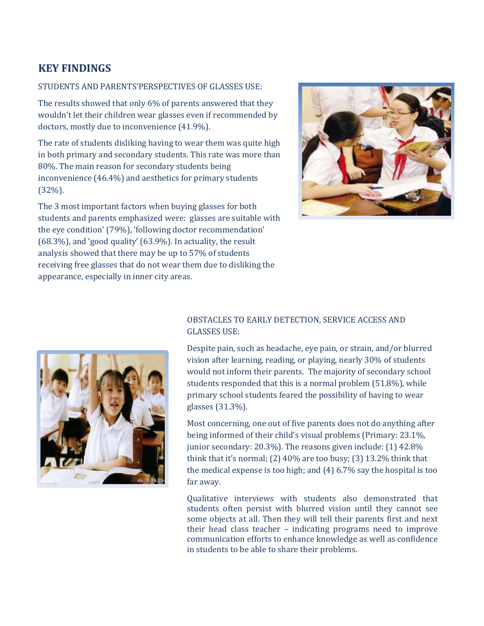# **KEY FINDINGS**

#### STUDENTS AND PARENTS'PERSPECTIVES OF GLASSES USE:

The results showed that only 6% of parents answered that they wouldn't let their children wear glasses even if recommended by doctors, mostly due to inconvenience (41.9%).

The rate of students disliking having to wear them was quite high in both primary and secondary students. This rate was more than 80%. The main reason for secondary students being inconvenience (46.4%) and aesthetics for primary students (32%).

The 3 most important factors when buying glasses for both students and parents emphasized were: glasses are suitable with the eye condition' (79%), 'following doctor recommendation' (68.3%), and 'good quality' (63.9%). In actuality, the result analysis showed that there may be up to 57% of students receiving free glasses that do not wear them due to disliking the appearance, especially in inner city areas.





#### OBSTACLES TO EARLY DETECTION, SERVICE ACCESS AND GLASSES USE:

Despite pain, such as headache, eye pain, or strain, and/or blurred vision after learning, reading, or playing, nearly 30% of students would not inform their parents. The majority of secondary school students responded that this is a normal problem (51.8%), while primary school students feared the possibility of having to wear glasses (31.3%).

Most concerning, one out of five parents does not do anything after being informed of their child's visual problems (Primary: 23.1%, junior secondary: 20.3%). The reasons given include: (1) 42.8% think that it's normal; (2) 40% are too busy; (3) 13.2% think that the medical expense is too high; and (4) 6.7% say the hospital is too far away.

Qualitative interviews with students also demonstrated that students often persist with blurred vision until they cannot see some objects at all. Then they will tell their parents first and next their head class teacher – indicating programs need to improve communication efforts to enhance knowledge as well as confidence in students to be able to share their problems.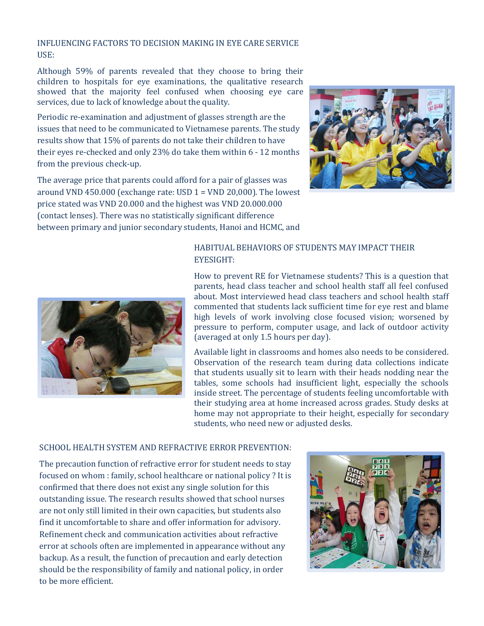#### INFLUENCING FACTORS TO DECISION MAKING IN EYE CARE SERVICE USE:

Although 59% of parents revealed that they choose to bring their children to hospitals for eye examinations, the qualitative research showed that the majority feel confused when choosing eye care services, due to lack of knowledge about the quality.

Periodic re-examination and adjustment of glasses strength are the issues that need to be communicated to Vietnamese parents. The study results show that 15% of parents do not take their children to have their eyes re-checked and only 23% do take them within 6 - 12 months from the previous check-up.

The average price that parents could afford for a pair of glasses was around VND 450.000 (exchange rate: USD  $1 =$  VND 20,000). The lowest price stated was VND 20.000 and the highest was VND 20.000.000 (contact lenses). There was no statistically significant difference between primary and junior secondary students, Hanoi and HCMC, and





#### HABITUAL BEHAVIORS OF STUDENTS MAY IMPACT THEIR EYESIGHT:

How to prevent RE for Vietnamese students? This is a question that parents, head class teacher and school health staff all feel confused about. Most interviewed head class teachers and school health staff commented that students lack sufficient time for eye rest and blame high levels of work involving close focused vision; worsened by pressure to perform, computer usage, and lack of outdoor activity (averaged at only 1.5 hours per day).

Available light in classrooms and homes also needs to be considered. Observation of the research team during data collections indicate that students usually sit to learn with their heads nodding near the tables, some schools had insufficient light, especially the schools inside street. The percentage of students feeling uncomfortable with their studying area at home increased across grades. Study desks at home may not appropriate to their height, especially for secondary students, who need new or adjusted desks.

#### SCHOOL HEALTH SYSTEM AND REFRACTIVE ERROR PREVENTION:

The precaution function of refractive error for student needs to stay focused on whom : family, school healthcare or national policy ? It is confirmed that there does not exist any single solution for this outstanding issue. The research results showed that school nurses are not only still limited in their own capacities, but students also find it uncomfortable to share and offer information for advisory. Refinement check and communication activities about refractive error at schools often are implemented in appearance without any backup. As a result, the function of precaution and early detection should be the responsibility of family and national policy, in order to be more efficient.